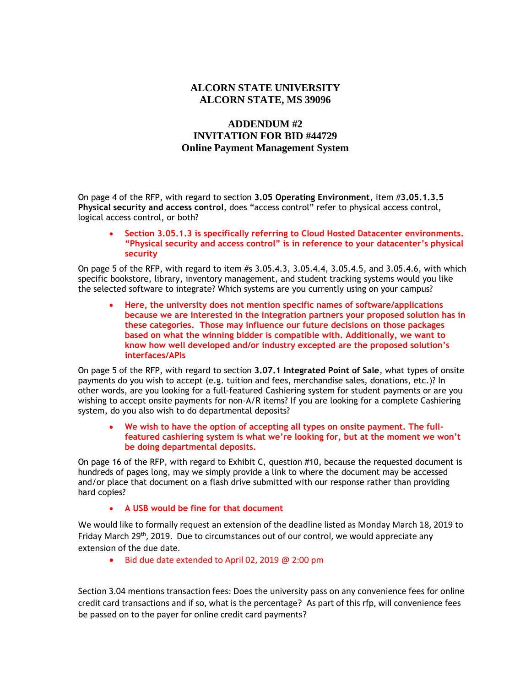## **ALCORN STATE UNIVERSITY ALCORN STATE, MS 39096**

## **ADDENDUM #2 INVITATION FOR BID #44729 Online Payment Management System**

On page 4 of the RFP, with regard to section **3.05 Operating Environment**, item #**3.05.1.3.5 Physical security and access control**, does "access control" refer to physical access control, logical access control, or both?

## **Section 3.05.1.3 is specifically referring to Cloud Hosted Datacenter environments. "Physical security and access control" is in reference to your datacenter's physical security**

On page 5 of the RFP, with regard to item #s 3.05.4.3, 3.05.4.4, 3.05.4.5, and 3.05.4.6, with which specific bookstore, library, inventory management, and student tracking systems would you like the selected software to integrate? Which systems are you currently using on your campus?

 **Here, the university does not mention specific names of software/applications because we are interested in the integration partners your proposed solution has in these categories. Those may influence our future decisions on those packages based on what the winning bidder is compatible with. Additionally, we want to know how well developed and/or industry excepted are the proposed solution's interfaces/APIs**

On page 5 of the RFP, with regard to section **3.07.1 Integrated Point of Sale**, what types of onsite payments do you wish to accept (e.g. tuition and fees, merchandise sales, donations, etc.)? In other words, are you looking for a full-featured Cashiering system for student payments or are you wishing to accept onsite payments for non-A/R items? If you are looking for a complete Cashiering system, do you also wish to do departmental deposits?

 **We wish to have the option of accepting all types on onsite payment. The fullfeatured cashiering system is what we're looking for, but at the moment we won't be doing departmental deposits.**

On page 16 of the RFP, with regard to Exhibit C, question #10, because the requested document is hundreds of pages long, may we simply provide a link to where the document may be accessed and/or place that document on a flash drive submitted with our response rather than providing hard copies?

**A USB would be fine for that document**

We would like to formally request an extension of the deadline listed as Monday March 18, 2019 to Friday March 29<sup>th</sup>, 2019. Due to circumstances out of our control, we would appreciate any extension of the due date.

Bid due date extended to April 02, 2019 @ 2:00 pm

Section 3.04 mentions transaction fees: Does the university pass on any convenience fees for online credit card transactions and if so, what is the percentage? As part of this rfp, will convenience fees be passed on to the payer for online credit card payments?